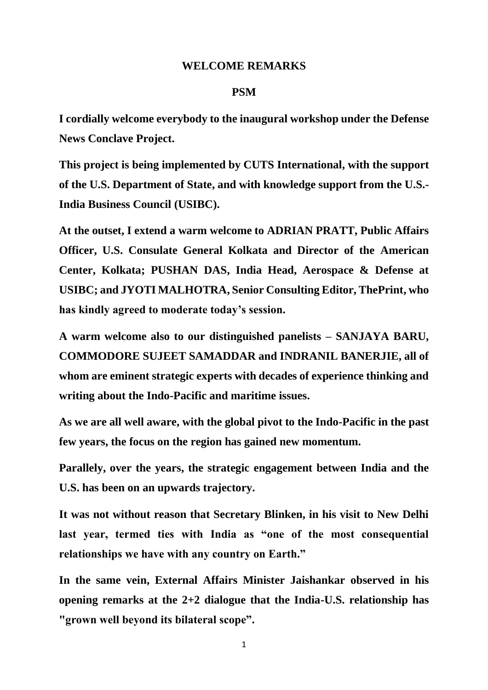## **WELCOME REMARKS**

## **PSM**

**I cordially welcome everybody to the inaugural workshop under the Defense News Conclave Project.**

**This project is being implemented by CUTS International, with the support of the U.S. Department of State, and with knowledge support from the U.S.- India Business Council (USIBC).**

**At the outset, I extend a warm welcome to ADRIAN PRATT, Public Affairs Officer, U.S. Consulate General Kolkata and Director of the American Center, Kolkata; PUSHAN DAS, India Head, Aerospace & Defense at USIBC; and JYOTI MALHOTRA, Senior Consulting Editor, ThePrint, who has kindly agreed to moderate today's session.** 

**A warm welcome also to our distinguished panelists – SANJAYA BARU, COMMODORE SUJEET SAMADDAR and INDRANIL BANERJIE, all of whom are eminent strategic experts with decades of experience thinking and writing about the Indo-Pacific and maritime issues.** 

**As we are all well aware, with the global pivot to the Indo-Pacific in the past few years, the focus on the region has gained new momentum.**

**Parallely, over the years, the strategic engagement between India and the U.S. has been on an upwards trajectory.** 

**It was not without reason that Secretary Blinken, in his visit to New Delhi last year, termed ties with India as "one of the most consequential relationships we have with any country on Earth."**

**In the same vein, External Affairs Minister Jaishankar observed in his opening remarks at the 2+2 dialogue that the India-U.S. relationship has "grown well beyond its bilateral scope".**

1